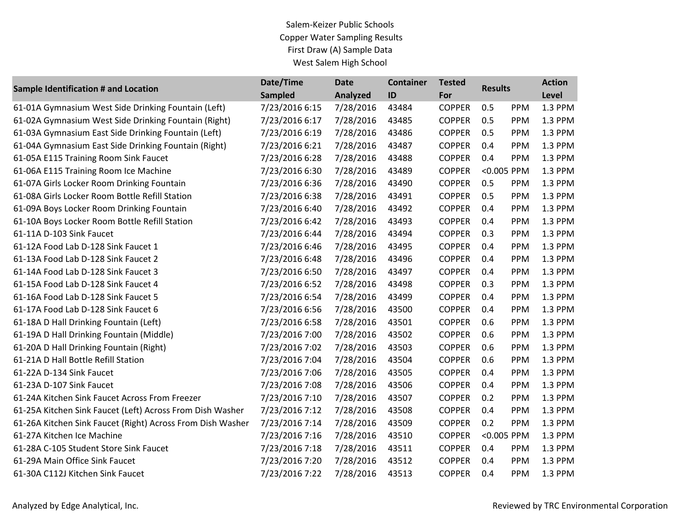| <b>Sample Identification # and Location</b>                | Date/Time<br><b>Sampled</b> | <b>Date</b><br>Analyzed | <b>Container</b><br>ID | <b>Tested</b><br>For | <b>Results</b> |            | <b>Action</b><br>Level |
|------------------------------------------------------------|-----------------------------|-------------------------|------------------------|----------------------|----------------|------------|------------------------|
| 61-01A Gymnasium West Side Drinking Fountain (Left)        | 7/23/2016 6:15              | 7/28/2016               | 43484                  | <b>COPPER</b>        | 0.5            | PPM        | 1.3 PPM                |
| 61-02A Gymnasium West Side Drinking Fountain (Right)       | 7/23/2016 6:17              | 7/28/2016               | 43485                  | <b>COPPER</b>        | 0.5            | <b>PPM</b> | 1.3 PPM                |
| 61-03A Gymnasium East Side Drinking Fountain (Left)        | 7/23/2016 6:19              | 7/28/2016               | 43486                  | <b>COPPER</b>        | 0.5            | PPM        | 1.3 PPM                |
| 61-04A Gymnasium East Side Drinking Fountain (Right)       | 7/23/2016 6:21              | 7/28/2016               | 43487                  | <b>COPPER</b>        | 0.4            | PPM        | 1.3 PPM                |
| 61-05A E115 Training Room Sink Faucet                      | 7/23/2016 6:28              | 7/28/2016               | 43488                  | <b>COPPER</b>        | 0.4            | <b>PPM</b> | 1.3 PPM                |
| 61-06A E115 Training Room Ice Machine                      | 7/23/2016 6:30              | 7/28/2016               | 43489                  | <b>COPPER</b>        | <0.005 PPM     |            | 1.3 PPM                |
| 61-07A Girls Locker Room Drinking Fountain                 | 7/23/2016 6:36              | 7/28/2016               | 43490                  | <b>COPPER</b>        | 0.5            | PPM        | 1.3 PPM                |
| 61-08A Girls Locker Room Bottle Refill Station             | 7/23/2016 6:38              | 7/28/2016               | 43491                  | <b>COPPER</b>        | 0.5            | <b>PPM</b> | 1.3 PPM                |
| 61-09A Boys Locker Room Drinking Fountain                  | 7/23/2016 6:40              | 7/28/2016               | 43492                  | <b>COPPER</b>        | 0.4            | PPM        | 1.3 PPM                |
| 61-10A Boys Locker Room Bottle Refill Station              | 7/23/2016 6:42              | 7/28/2016               | 43493                  | <b>COPPER</b>        | 0.4            | <b>PPM</b> | 1.3 PPM                |
| 61-11A D-103 Sink Faucet                                   | 7/23/2016 6:44              | 7/28/2016               | 43494                  | <b>COPPER</b>        | 0.3            | <b>PPM</b> | 1.3 PPM                |
| 61-12A Food Lab D-128 Sink Faucet 1                        | 7/23/2016 6:46              | 7/28/2016               | 43495                  | <b>COPPER</b>        | 0.4            | PPM        | 1.3 PPM                |
| 61-13A Food Lab D-128 Sink Faucet 2                        | 7/23/2016 6:48              | 7/28/2016               | 43496                  | <b>COPPER</b>        | 0.4            | <b>PPM</b> | 1.3 PPM                |
| 61-14A Food Lab D-128 Sink Faucet 3                        | 7/23/2016 6:50              | 7/28/2016               | 43497                  | <b>COPPER</b>        | 0.4            | <b>PPM</b> | 1.3 PPM                |
| 61-15A Food Lab D-128 Sink Faucet 4                        | 7/23/2016 6:52              | 7/28/2016               | 43498                  | <b>COPPER</b>        | 0.3            | <b>PPM</b> | 1.3 PPM                |
| 61-16A Food Lab D-128 Sink Faucet 5                        | 7/23/2016 6:54              | 7/28/2016               | 43499                  | <b>COPPER</b>        | 0.4            | <b>PPM</b> | 1.3 PPM                |
| 61-17A Food Lab D-128 Sink Faucet 6                        | 7/23/2016 6:56              | 7/28/2016               | 43500                  | <b>COPPER</b>        | 0.4            | <b>PPM</b> | 1.3 PPM                |
| 61-18A D Hall Drinking Fountain (Left)                     | 7/23/2016 6:58              | 7/28/2016               | 43501                  | <b>COPPER</b>        | 0.6            | <b>PPM</b> | 1.3 PPM                |
| 61-19A D Hall Drinking Fountain (Middle)                   | 7/23/2016 7:00              | 7/28/2016               | 43502                  | <b>COPPER</b>        | 0.6            | <b>PPM</b> | 1.3 PPM                |
| 61-20A D Hall Drinking Fountain (Right)                    | 7/23/2016 7:02              | 7/28/2016               | 43503                  | <b>COPPER</b>        | 0.6            | <b>PPM</b> | 1.3 PPM                |
| 61-21A D Hall Bottle Refill Station                        | 7/23/2016 7:04              | 7/28/2016               | 43504                  | <b>COPPER</b>        | 0.6            | <b>PPM</b> | 1.3 PPM                |
| 61-22A D-134 Sink Faucet                                   | 7/23/2016 7:06              | 7/28/2016               | 43505                  | <b>COPPER</b>        | 0.4            | PPM        | 1.3 PPM                |
| 61-23A D-107 Sink Faucet                                   | 7/23/2016 7:08              | 7/28/2016               | 43506                  | <b>COPPER</b>        | 0.4            | <b>PPM</b> | 1.3 PPM                |
| 61-24A Kitchen Sink Faucet Across From Freezer             | 7/23/2016 7:10              | 7/28/2016               | 43507                  | <b>COPPER</b>        | 0.2            | <b>PPM</b> | 1.3 PPM                |
| 61-25A Kitchen Sink Faucet (Left) Across From Dish Washer  | 7/23/2016 7:12              | 7/28/2016               | 43508                  | <b>COPPER</b>        | 0.4            | PPM        | 1.3 PPM                |
| 61-26A Kitchen Sink Faucet (Right) Across From Dish Washer | 7/23/2016 7:14              | 7/28/2016               | 43509                  | <b>COPPER</b>        | 0.2            | <b>PPM</b> | 1.3 PPM                |
| 61-27A Kitchen Ice Machine                                 | 7/23/2016 7:16              | 7/28/2016               | 43510                  | <b>COPPER</b>        | <0.005 PPM     |            | 1.3 PPM                |
| 61-28A C-105 Student Store Sink Faucet                     | 7/23/2016 7:18              | 7/28/2016               | 43511                  | <b>COPPER</b>        | 0.4            | <b>PPM</b> | 1.3 PPM                |
| 61-29A Main Office Sink Faucet                             | 7/23/2016 7:20              | 7/28/2016               | 43512                  | <b>COPPER</b>        | 0.4            | <b>PPM</b> | 1.3 PPM                |
| 61-30A C112J Kitchen Sink Faucet                           | 7/23/2016 7:22              | 7/28/2016               | 43513                  | <b>COPPER</b>        | 0.4            | <b>PPM</b> | 1.3 PPM                |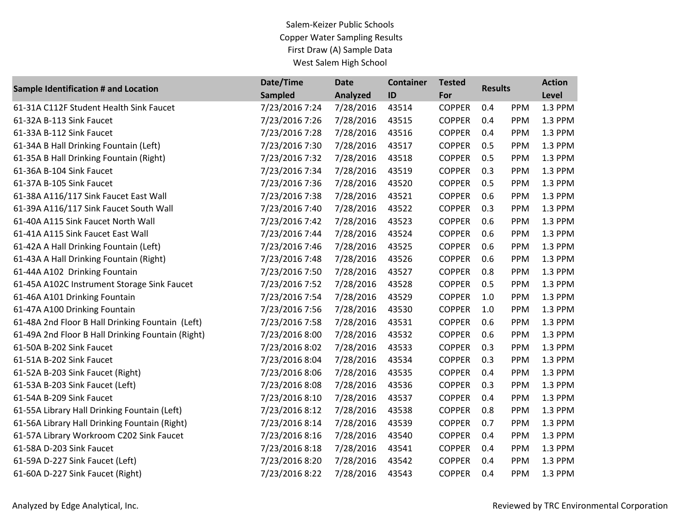| <b>Sample Identification # and Location</b>       | Date/Time      | <b>Date</b> | <b>Container</b> | <b>Tested</b> | <b>Results</b> |            | <b>Action</b> |
|---------------------------------------------------|----------------|-------------|------------------|---------------|----------------|------------|---------------|
|                                                   | <b>Sampled</b> | Analyzed    | ID               | For           |                |            | Level         |
| 61-31A C112F Student Health Sink Faucet           | 7/23/2016 7:24 | 7/28/2016   | 43514            | <b>COPPER</b> | 0.4            | <b>PPM</b> | 1.3 PPM       |
| 61-32A B-113 Sink Faucet                          | 7/23/2016 7:26 | 7/28/2016   | 43515            | <b>COPPER</b> | 0.4            | <b>PPM</b> | 1.3 PPM       |
| 61-33A B-112 Sink Faucet                          | 7/23/2016 7:28 | 7/28/2016   | 43516            | <b>COPPER</b> | 0.4            | <b>PPM</b> | 1.3 PPM       |
| 61-34A B Hall Drinking Fountain (Left)            | 7/23/2016 7:30 | 7/28/2016   | 43517            | <b>COPPER</b> | 0.5            | <b>PPM</b> | 1.3 PPM       |
| 61-35A B Hall Drinking Fountain (Right)           | 7/23/2016 7:32 | 7/28/2016   | 43518            | <b>COPPER</b> | 0.5            | <b>PPM</b> | 1.3 PPM       |
| 61-36A B-104 Sink Faucet                          | 7/23/2016 7:34 | 7/28/2016   | 43519            | <b>COPPER</b> | 0.3            | <b>PPM</b> | 1.3 PPM       |
| 61-37A B-105 Sink Faucet                          | 7/23/2016 7:36 | 7/28/2016   | 43520            | <b>COPPER</b> | 0.5            | <b>PPM</b> | 1.3 PPM       |
| 61-38A A116/117 Sink Faucet East Wall             | 7/23/2016 7:38 | 7/28/2016   | 43521            | <b>COPPER</b> | 0.6            | <b>PPM</b> | 1.3 PPM       |
| 61-39A A116/117 Sink Faucet South Wall            | 7/23/2016 7:40 | 7/28/2016   | 43522            | <b>COPPER</b> | 0.3            | <b>PPM</b> | 1.3 PPM       |
| 61-40A A115 Sink Faucet North Wall                | 7/23/2016 7:42 | 7/28/2016   | 43523            | <b>COPPER</b> | 0.6            | <b>PPM</b> | 1.3 PPM       |
| 61-41A A115 Sink Faucet East Wall                 | 7/23/2016 7:44 | 7/28/2016   | 43524            | <b>COPPER</b> | 0.6            | <b>PPM</b> | 1.3 PPM       |
| 61-42A A Hall Drinking Fountain (Left)            | 7/23/2016 7:46 | 7/28/2016   | 43525            | <b>COPPER</b> | 0.6            | <b>PPM</b> | 1.3 PPM       |
| 61-43A A Hall Drinking Fountain (Right)           | 7/23/2016 7:48 | 7/28/2016   | 43526            | <b>COPPER</b> | 0.6            | <b>PPM</b> | 1.3 PPM       |
| 61-44A A102 Drinking Fountain                     | 7/23/2016 7:50 | 7/28/2016   | 43527            | <b>COPPER</b> | 0.8            | <b>PPM</b> | 1.3 PPM       |
| 61-45A A102C Instrument Storage Sink Faucet       | 7/23/2016 7:52 | 7/28/2016   | 43528            | <b>COPPER</b> | 0.5            | <b>PPM</b> | 1.3 PPM       |
| 61-46A A101 Drinking Fountain                     | 7/23/2016 7:54 | 7/28/2016   | 43529            | <b>COPPER</b> | 1.0            | <b>PPM</b> | 1.3 PPM       |
| 61-47A A100 Drinking Fountain                     | 7/23/2016 7:56 | 7/28/2016   | 43530            | <b>COPPER</b> | 1.0            | <b>PPM</b> | 1.3 PPM       |
| 61-48A 2nd Floor B Hall Drinking Fountain (Left)  | 7/23/2016 7:58 | 7/28/2016   | 43531            | <b>COPPER</b> | 0.6            | <b>PPM</b> | 1.3 PPM       |
| 61-49A 2nd Floor B Hall Drinking Fountain (Right) | 7/23/2016 8:00 | 7/28/2016   | 43532            | <b>COPPER</b> | 0.6            | <b>PPM</b> | 1.3 PPM       |
| 61-50A B-202 Sink Faucet                          | 7/23/2016 8:02 | 7/28/2016   | 43533            | <b>COPPER</b> | 0.3            | <b>PPM</b> | 1.3 PPM       |
| 61-51A B-202 Sink Faucet                          | 7/23/2016 8:04 | 7/28/2016   | 43534            | <b>COPPER</b> | 0.3            | <b>PPM</b> | 1.3 PPM       |
| 61-52A B-203 Sink Faucet (Right)                  | 7/23/2016 8:06 | 7/28/2016   | 43535            | <b>COPPER</b> | 0.4            | <b>PPM</b> | 1.3 PPM       |
| 61-53A B-203 Sink Faucet (Left)                   | 7/23/2016 8:08 | 7/28/2016   | 43536            | <b>COPPER</b> | 0.3            | <b>PPM</b> | 1.3 PPM       |
| 61-54A B-209 Sink Faucet                          | 7/23/2016 8:10 | 7/28/2016   | 43537            | <b>COPPER</b> | 0.4            | <b>PPM</b> | 1.3 PPM       |
| 61-55A Library Hall Drinking Fountain (Left)      | 7/23/2016 8:12 | 7/28/2016   | 43538            | <b>COPPER</b> | 0.8            | <b>PPM</b> | 1.3 PPM       |
| 61-56A Library Hall Drinking Fountain (Right)     | 7/23/2016 8:14 | 7/28/2016   | 43539            | <b>COPPER</b> | 0.7            | <b>PPM</b> | 1.3 PPM       |
| 61-57A Library Workroom C202 Sink Faucet          | 7/23/2016 8:16 | 7/28/2016   | 43540            | <b>COPPER</b> | 0.4            | <b>PPM</b> | 1.3 PPM       |
| 61-58A D-203 Sink Faucet                          | 7/23/2016 8:18 | 7/28/2016   | 43541            | <b>COPPER</b> | 0.4            | <b>PPM</b> | 1.3 PPM       |
| 61-59A D-227 Sink Faucet (Left)                   | 7/23/2016 8:20 | 7/28/2016   | 43542            | <b>COPPER</b> | 0.4            | <b>PPM</b> | 1.3 PPM       |
| 61-60A D-227 Sink Faucet (Right)                  | 7/23/2016 8:22 | 7/28/2016   | 43543            | <b>COPPER</b> | 0.4            | <b>PPM</b> | 1.3 PPM       |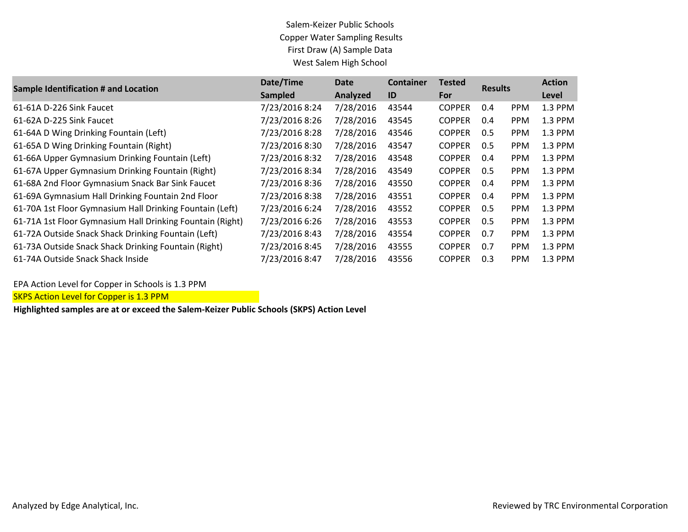| <b>Sample Identification # and Location</b>               | Date/Time      | Date      | Container | <b>Tested</b> | <b>Results</b> |            | <b>Action</b> |
|-----------------------------------------------------------|----------------|-----------|-----------|---------------|----------------|------------|---------------|
|                                                           | <b>Sampled</b> | Analyzed  | ID        | <b>For</b>    |                |            | Level         |
| 61-61A D-226 Sink Faucet                                  | 7/23/2016 8:24 | 7/28/2016 | 43544     | <b>COPPER</b> | 0.4            | <b>PPM</b> | 1.3 PPM       |
| 61-62A D-225 Sink Faucet                                  | 7/23/2016 8:26 | 7/28/2016 | 43545     | <b>COPPER</b> | 0.4            | <b>PPM</b> | 1.3 PPM       |
| 61-64A D Wing Drinking Fountain (Left)                    | 7/23/2016 8:28 | 7/28/2016 | 43546     | <b>COPPER</b> | 0.5            | <b>PPM</b> | 1.3 PPM       |
| 61-65A D Wing Drinking Fountain (Right)                   | 7/23/2016 8:30 | 7/28/2016 | 43547     | <b>COPPER</b> | 0.5            | <b>PPM</b> | 1.3 PPM       |
| 61-66A Upper Gymnasium Drinking Fountain (Left)           | 7/23/2016 8:32 | 7/28/2016 | 43548     | <b>COPPER</b> | 0.4            | <b>PPM</b> | 1.3 PPM       |
| 61-67A Upper Gymnasium Drinking Fountain (Right)          | 7/23/2016 8:34 | 7/28/2016 | 43549     | <b>COPPER</b> | 0.5            | <b>PPM</b> | 1.3 PPM       |
| 61-68A 2nd Floor Gymnasium Snack Bar Sink Faucet          | 7/23/2016 8:36 | 7/28/2016 | 43550     | <b>COPPER</b> | 0.4            | <b>PPM</b> | 1.3 PPM       |
| 61-69A Gymnasium Hall Drinking Fountain 2nd Floor         | 7/23/2016 8:38 | 7/28/2016 | 43551     | <b>COPPER</b> | 0.4            | <b>PPM</b> | 1.3 PPM       |
| 61-70A 1st Floor Gymnasium Hall Drinking Fountain (Left)  | 7/23/2016 6:24 | 7/28/2016 | 43552     | <b>COPPER</b> | 0.5            | <b>PPM</b> | 1.3 PPM       |
| 61-71A 1st Floor Gymnasium Hall Drinking Fountain (Right) | 7/23/2016 6:26 | 7/28/2016 | 43553     | <b>COPPER</b> | 0.5            | <b>PPM</b> | 1.3 PPM       |
| 61-72A Outside Snack Shack Drinking Fountain (Left)       | 7/23/2016 8:43 | 7/28/2016 | 43554     | <b>COPPER</b> | 0.7            | <b>PPM</b> | 1.3 PPM       |
| 61-73A Outside Snack Shack Drinking Fountain (Right)      | 7/23/2016 8:45 | 7/28/2016 | 43555     | <b>COPPER</b> | 0.7            | <b>PPM</b> | 1.3 PPM       |
| 61-74A Outside Snack Shack Inside                         | 7/23/2016 8:47 | 7/28/2016 | 43556     | <b>COPPER</b> | 0.3            | <b>PPM</b> | 1.3 PPM       |

EPA Action Level for Copper in Schools is 1.3 PPM

**SKPS Action Level for Copper is 1.3 PPM**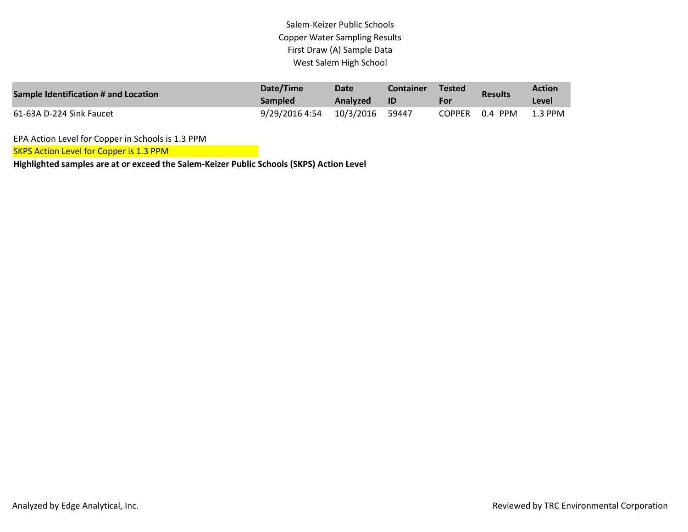| Sample Identification # and Location | Date/Time      | <b>Date</b> | <b>Container</b><br><b>Tested</b> |     | <b>Results</b> | <b>Action</b> |
|--------------------------------------|----------------|-------------|-----------------------------------|-----|----------------|---------------|
|                                      | <b>Sampled</b> | Analyzed    | -ID                               | For |                | Level         |
| 61-63A D-224 Sink Faucet             | 9/29/2016 4:54 | 10/3/2016   | 59447                             |     | COPPER 0.4 PPM | 1.3 PPM       |

EPA Action Level for Copper in Schools is 1.3 PPM

**SKPS Action Level for Copper is 1.3 PPM**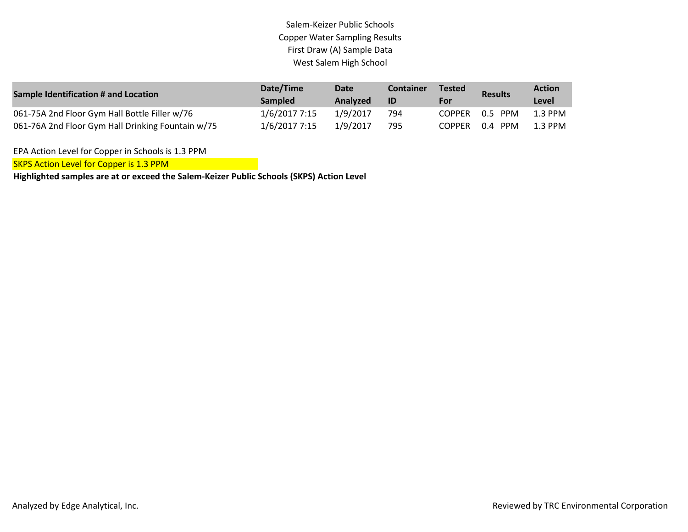| <b>Sample Identification # and Location</b>       | Date/Time      | Date            | <b>Container</b> | <b>Tested</b> | <b>Results</b> | Action  |
|---------------------------------------------------|----------------|-----------------|------------------|---------------|----------------|---------|
|                                                   | <b>Sampled</b> | <b>Analyzed</b> | ID               | For           |                | Level   |
| 061-75A 2nd Floor Gym Hall Bottle Filler w/76     | 1/6/2017 7:15  | 1/9/2017        | 794              | <b>COPPER</b> | 0.5 PPM        | 1.3 PPM |
| 061-76A 2nd Floor Gym Hall Drinking Fountain w/75 | 1/6/2017 7:15  | 1/9/2017        | 795              | <b>COPPER</b> | 0.4 PPM        | 1.3 PPM |

EPA Action Level for Copper in Schools is 1.3 PPM

**SKPS Action Level for Copper is 1.3 PPM**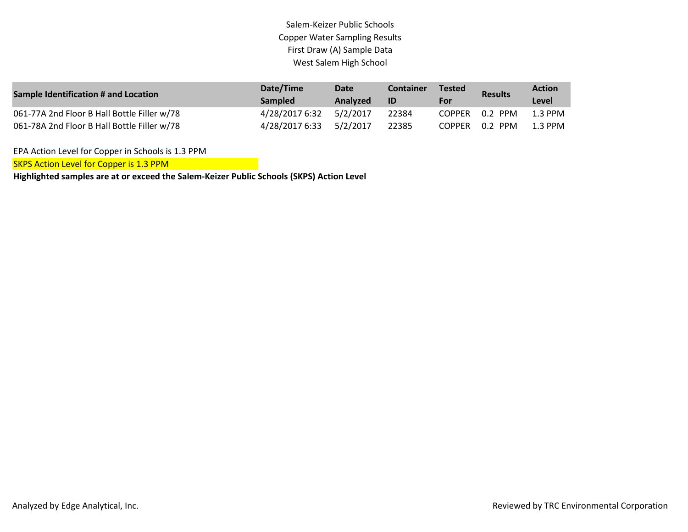| Sample Identification # and Location        | Date/Time      | Date     | <b>Container</b> | <b>Tested</b> | <b>Results</b> | <b>Action</b> |
|---------------------------------------------|----------------|----------|------------------|---------------|----------------|---------------|
|                                             | <b>Sampled</b> | Analyzed | -ID              | For           |                | Level         |
| 061-77A 2nd Floor B Hall Bottle Filler w/78 | 4/28/2017 6:32 | 5/2/2017 | 22384            | COPPER        | 0.2 PPM        | 1.3 PPM       |
| 061-78A 2nd Floor B Hall Bottle Filler w/78 | 4/28/2017 6:33 | 5/2/2017 | 22385            | <b>COPPER</b> | 0.2 PPM        | 1.3 PPM       |

EPA Action Level for Copper in Schools is 1.3 PPM

**SKPS Action Level for Copper is 1.3 PPM**